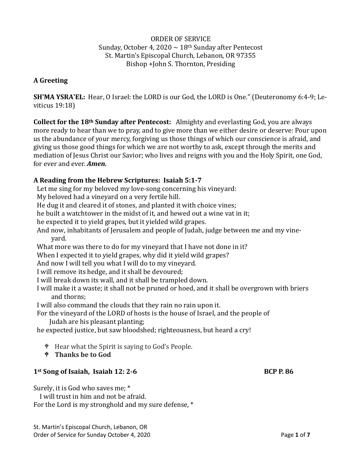## ORDER OF SERVICE Sunday, October 4, 2020  $\sim$  18<sup>th</sup> Sunday after Pentecost St. Martin's Episcopal Church, Lebanon, OR 97355 Bishop +John S. Thornton, Presiding

#### **A Greeting**

**SH'MA YSRA'EL:** Hear, O Israel: the LORD is our God, the LORD is One." (Deuteronomy 6:4-9; Leviticus 19:18)

**Collect for the 18th Sunday after Pentecost:** Almighty and everlasting God, you are always more ready to hear than we to pray, and to give more than we either desire or deserve: Pour upon us the abundance of your mercy, forgiving us those things of which our conscience is afraid, and giving us those good things for which we are not worthy to ask, except through the merits and mediation of Jesus Christ our Savior; who lives and reigns with you and the Holy Spirit, one God, for ever and ever. *Amen.*

## **A Reading from the Hebrew Scriptures: Isaiah 5:1-7**

Let me sing for my beloved my love-song concerning his vineyard:

My beloved had a vineyard on a very fertile hill.

He dug it and cleared it of stones, and planted it with choice vines;

he built a watchtower in the midst of it, and hewed out a wine vat in it;

he expected it to yield grapes, but it yielded wild grapes.

And now, inhabitants of Jerusalem and people of Judah, judge between me and my vineyard.

What more was there to do for my vineyard that I have not done in it?

When I expected it to yield grapes, why did it yield wild grapes?

And now I will tell you what I will do to my vineyard.

I will remove its hedge, and it shall be devoured;

I will break down its wall, and it shall be trampled down.

I will make it a waste; it shall not be pruned or hoed, and it shall be overgrown with briers and thorns;

I will also command the clouds that they rain no rain upon it.

For the vineyard of the LORD of hosts is the house of Israel, and the people of

Judah are his pleasant planting;

he expected justice, but saw bloodshed; righteousness, but heard a cry!

- <sup> $\phi$ </sup> Hear what the Spirit is saying to God's People.
- **Thanks be to God**

## **1st Song of Isaiah, Isaiah 12: 2-6 BCP P. 86**

Surely, it is God who saves me; \*

 I will trust in him and not be afraid. For the Lord is my stronghold and my sure defense, \*

St. Martin's Episcopal Church, Lebanon, OR Order of Service for Sunday October 4, 2020 Page **1** of **7**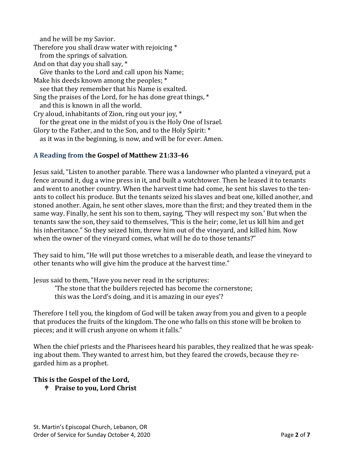and he will be my Savior.

Therefore you shall draw water with rejoicing \* from the springs of salvation. And on that day you shall say, \* Give thanks to the Lord and call upon his Name; Make his deeds known among the peoples; \* see that they remember that his Name is exalted. Sing the praises of the Lord, for he has done great things, \* and this is known in all the world. Cry aloud, inhabitants of Zion, ring out your joy, \* for the great one in the midst of you is the Holy One of Israel. Glory to the Father, and to the Son, and to the Holy Spirit: \* as it was in the beginning, is now, and will be for ever. Amen.

# **A Reading from the Gospel of Matthew 21:33-46**

Jesus said, "Listen to another parable. There was a landowner who planted a vineyard, put a fence around it, dug a wine press in it, and built a watchtower. Then he leased it to tenants and went to another country. When the harvest time had come, he sent his slaves to the tenants to collect his produce. But the tenants seized his slaves and beat one, killed another, and stoned another. Again, he sent other slaves, more than the first; and they treated them in the same way. Finally, he sent his son to them, saying, 'They will respect my son.' But when the tenants saw the son, they said to themselves, 'This is the heir; come, let us kill him and get his inheritance." So they seized him, threw him out of the vineyard, and killed him. Now when the owner of the vineyard comes, what will he do to those tenants?"

They said to him, "He will put those wretches to a miserable death, and lease the vineyard to other tenants who will give him the produce at the harvest time."

Jesus said to them, "Have you never read in the scriptures:

'The stone that the builders rejected has become the cornerstone;

this was the Lord's doing, and it is amazing in our eyes'?

Therefore I tell you, the kingdom of God will be taken away from you and given to a people that produces the fruits of the kingdom. The one who falls on this stone will be broken to pieces; and it will crush anyone on whom it falls."

When the chief priests and the Pharisees heard his parables, they realized that he was speaking about them. They wanted to arrest him, but they feared the crowds, because they regarded him as a prophet.

# **This is the Gospel of the Lord,**

**Praise to you, Lord Christ**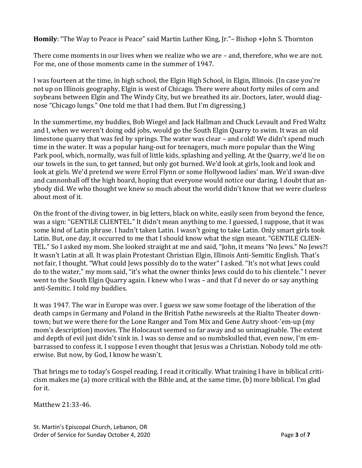**Homily**: "The Way to Peace is Peace" said Martin Luther King, Jr."– Bishop +John S. Thornton

There come moments in our lives when we realize who we are – and, therefore, who we are not. For me, one of those moments came in the summer of 1947.

I was fourteen at the time, in high school, the Elgin High School, in Elgin, Illinois. (In case you're not up on Illinois geography, Elgin is west of Chicago. There were about forty miles of corn and soybeans between Elgin and The Windy City, but we breathed its air. Doctors, later, would diagnose "Chicago lungs." One told me that I had them. But I'm digressing.)

In the summertime, my buddies, Bob Wiegel and Jack Hallman and Chuck Levault and Fred Waltz and I, when we weren't doing odd jobs, would go the South Elgin Quarry to swim. It was an old limestone quarry that was fed by springs. The water was clear – and cold! We didn't spend much time in the water. It was a popular hang-out for teenagers, much more popular than the Wing Park pool, which, normally, was full of little kids, splashing and yelling. At the Quarry, we'd lie on our towels in the sun, to get tanned, but only got burned. We'd look at girls, look and look and look at girls. We'd pretend we were Errol Flynn or some Hollywood ladies' man. We'd swan-dive and cannonball off the high board, hoping that everyone would notice our daring. I doubt that anybody did. We who thought we knew so much about the world didn't know that we were clueless about most of it.

On the front of the diving tower, in big letters, black on white, easily seen from beyond the fence, was a sign: "GENTILE CLIENTEL." It didn't mean anything to me. I guessed, I suppose, that it was some kind of Latin phrase. I hadn't taken Latin. I wasn't going to take Latin. Only smart girls took Latin. But, one day, it occurred to me that I should know what the sign meant. "GENTILE CLIEN-TEL." So I asked my mom. She looked straight at me and said, "John, it means "No Jews." No Jews?! It wasn't Latin at all. It was plain Protestant Christian Elgin, Illinois Anti-Semitic English. That's not fair, I thought. "What could Jews possibly do to the water" I asked. "It's not what Jews could do to the water," my mom said, "it's what the owner thinks Jews could do to his clientele." I never went to the South Elgin Quarry again. I knew who I was – and that I'd never do or say anything anti-Semitic. I told my buddies.

It was 1947. The war in Europe was over. I guess we saw some footage of the liberation of the death camps in Germany and Poland in the British Pathe newsreels at the Rialto Theater downtown; but we were there for the Lone Ranger and Tom Mix and Gene Autry shoot-'em-up (my mom's description) movies. The Holocaust seemed so far away and so unimaginable. The extent and depth of evil just didn't sink in. I was so dense and so numbskulled that, even now, I'm embarrassed to confess it. I suppose I even thought that Jesus was a Christian. Nobody told me otherwise. But now, by God, I know he wasn't.

That brings me to today's Gospel reading. I read it critically. What training I have in biblical criticism makes me (a) more critical with the Bible and, at the same time, (b) more biblical. I'm glad for it.

Matthew 21:33-46.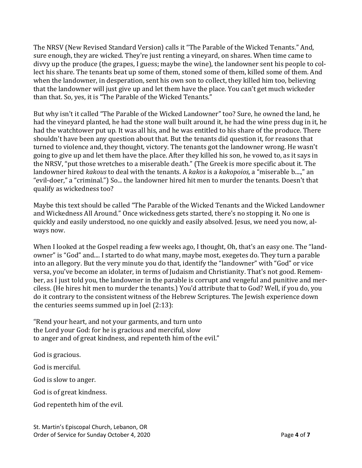The NRSV (New Revised Standard Version) calls it "The Parable of the Wicked Tenants." And, sure enough, they are wicked. They're just renting a vineyard, on shares. When time came to divvy up the produce (the grapes, I guess; maybe the wine), the landowner sent his people to collect his share. The tenants beat up some of them, stoned some of them, killed some of them. And when the landowner, in desperation, sent his own son to collect, they killed him too, believing that the landowner will just give up and let them have the place. You can't get much wickeder than that. So, yes, it is "The Parable of the Wicked Tenants."

But why isn't it called "The Parable of the Wicked Landowner" too? Sure, he owned the land, he had the vineyard planted, he had the stone wall built around it, he had the wine press dug in it, he had the watchtower put up. It was all his, and he was entitled to his share of the produce. There shouldn't have been any question about that. But the tenants did question it, for reasons that turned to violence and, they thought, victory. The tenants got the landowner wrong. He wasn't going to give up and let them have the place. After they killed his son, he vowed to, as it says in the NRSV, "put those wretches to a miserable death." (The Greek is more specific about it. The landowner hired *kakous* to deal with the tenants. A *kakos* is a *kakopoios,* a "miserable b....," an "evil-doer," a "criminal.") So... the landowner hired hit men to murder the tenants. Doesn't that qualify as wickedness too?

Maybe this text should be called "The Parable of the Wicked Tenants and the Wicked Landowner and Wickedness All Around." Once wickedness gets started, there's no stopping it. No one is quickly and easily understood, no one quickly and easily absolved. Jesus, we need you now, always now.

When I looked at the Gospel reading a few weeks ago, I thought, Oh, that's an easy one. The "landowner" is "God" and.... I started to do what many, maybe most, exegetes do. They turn a parable into an allegory. But the very minute you do that, identify the "landowner" with "God" or vice versa, you've become an idolater, in terms of Judaism and Christianity. That's not good. Remember, as I just told you, the landowner in the parable is corrupt and vengeful and punitive and merciless. (He hires hit men to murder the tenants.) You'd attribute that to God? Well, if you do, you do it contrary to the consistent witness of the Hebrew Scriptures. The Jewish experience down the centuries seems summed up in Joel (2:13):

"Rend your heart, and not your garments, and turn unto the Lord your God: for he is gracious and merciful, slow to anger and of great kindness, and repenteth him of the evil."

God is gracious.

God is merciful.

God is slow to anger.

God is of great kindness.

God repenteth him of the evil.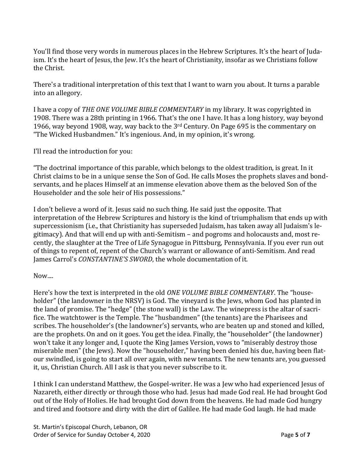You'll find those very words in numerous places in the Hebrew Scriptures. It's the heart of Judaism. It's the heart of Jesus, the Jew. It's the heart of Christianity, insofar as we Christians follow the Christ.

There's a traditional interpretation of this text that I want to warn you about. It turns a parable into an allegory.

I have a copy of *THE ONE VOLUME BIBLE COMMENTARY* in my library. It was copyrighted in 1908. There was a 28th printing in 1966. That's the one I have. It has a long history, way beyond 1966, way beyond 1908, way, way back to the 3<sup>rd</sup> Century. On Page 695 is the commentary on "The Wicked Husbandmen." It's ingenious. And, in my opinion, it's wrong.

I'll read the introduction for you:

"The doctrinal importance of this parable, which belongs to the oldest tradition, is great. In it Christ claims to be in a unique sense the Son of God. He calls Moses the prophets slaves and bondservants, and he places Himself at an immense elevation above them as the beloved Son of the Householder and the sole heir of His possessions."

I don't believe a word of it. Jesus said no such thing. He said just the opposite. That interpretation of the Hebrew Scriptures and history is the kind of triumphalism that ends up with supercessionism (i.e., that Christianity has superseded Judaism, has taken away all Judaism's legitimacy). And that will end up with anti-Semitism – and pogroms and holocausts and, most recently, the slaughter at the Tree of Life Synagogue in Pittsburg, Pennsylvania. If you ever run out of things to repent of, repent of the Church's warrant or allowance of anti-Semitism. And read James Carrol's *CONSTANTINE'S SWORD*, the whole documentation of it.

## Now....

Here's how the text is interpreted in the old *ONE VOLUME BIBLE COMMENTARY*. The "householder" (the landowner in the NRSV) is God. The vineyard is the Jews, whom God has planted in the land of promise. The "hedge" (the stone wall) is the Law. The winepress is the altar of sacrifice. The watchtower is the Temple. The "husbandmen" (the tenants) are the Pharisees and scribes. The householder's (the landowner's) servants, who are beaten up and stoned and killed, are the prophets. On and on it goes. You get the idea. Finally, the "householder" (the landowner) won't take it any longer and, I quote the King James Version, vows to "miserably destroy those miserable men" (the Jews). Now the "householder," having been denied his due, having been flatour swindled, is going to start all over again, with new tenants. The new tenants are, you guessed it, us, Christian Church. All I ask is that you never subscribe to it.

I think I can understand Matthew, the Gospel-writer. He was a Jew who had experienced Jesus of Nazareth, either directly or through those who had. Jesus had made God real. He had brought God out of the Holy of Holies. He had brought God down from the heavens. He had made God hungry and tired and footsore and dirty with the dirt of Galilee. He had made God laugh. He had made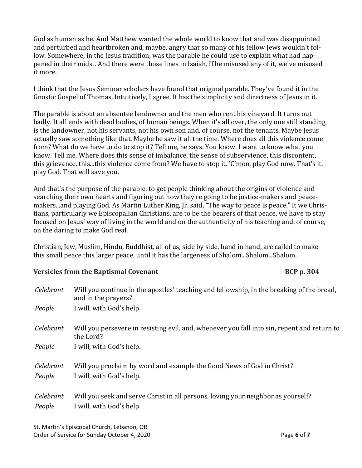God as human as he. And Matthew wanted the whole world to know that and was disappointed and perturbed and heartbroken and, maybe, angry that so many of his fellow Jews wouldn't follow. Somewhere, in the Jesus tradition, was the parable he could use to explain what had happened in their midst. And there were those lines in Isaiah. If he misused any of it, we've misused it more.

I think that the Jesus Seminar scholars have found that original parable. They've found it in the Gnostic Gospel of Thomas. Intuitively, I agree. It has the simplicity and directness of Jesus in it.

The parable is about an absentee landowner and the men who rent his vineyard. It turns out badly. It all ends with dead bodies, of human beings. When it's all over, the only one still standing is the landowner, not his servants, not his own son and, of course, not the tenants. Maybe Jesus actually saw something like that. Maybe he saw it all the time. Where does all this violence come from? What do we have to do to stop it? Tell me, he says. You know. I want to know what you know. Tell me. Where does this sense of imbalance, the sense of subservience, this discontent, this grievance, this...this violence come from? We have to stop it. 'C'mon, play God now. That's it, play God. That will save you.

And that's the purpose of the parable, to get people thinking about the origins of violence and searching their own hearts and figuring out how they're going to be justice-makers and peacemakers...and playing God. As Martin Luther King, Jr. said, "The way to peace is peace." It we Christians, particularly we Episcopalian Christians, are to be the bearers of that peace, we have to stay focused on Jesus' way of living in the world and on the authenticity of his teaching and, of course, on the daring to make God real.

Christian, Jew, Muslim, Hindu, Buddhist, all of us, side by side, hand in hand, are called to make this small peace this larger peace, until it has the largeness of Shalom...Shalom...Shalom.

## **Versicles from the Baptismal Covenant Community Community RCP p. 304**

| Celebrant           | Will you continue in the apostles' teaching and fellowship, in the breaking of the bread,<br>and in the prayers? |
|---------------------|------------------------------------------------------------------------------------------------------------------|
| People              | I will, with God's help.                                                                                         |
| Celebrant           | Will you persevere in resisting evil, and, whenever you fall into sin, repent and return to<br>the Lord?         |
| People              | I will, with God's help.                                                                                         |
| Celebrant<br>People | Will you proclaim by word and example the Good News of God in Christ?<br>I will, with God's help.                |
| Celebrant<br>People | Will you seek and serve Christ in all persons, loving your neighbor as yourself?<br>I will, with God's help.     |